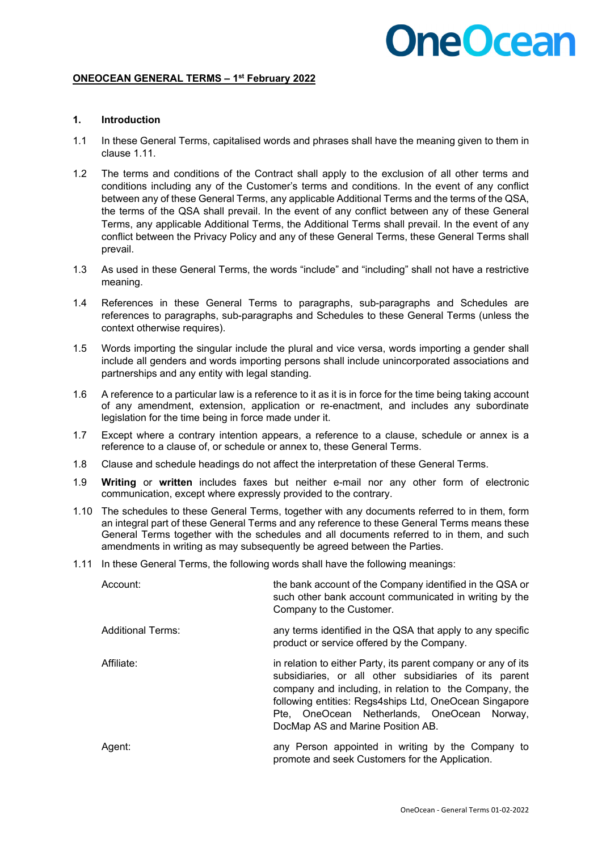#### **ONEOCEAN GENERAL TERMS – 1st February 2022**

#### **1. Introduction**

- 1.1 In these General Terms, capitalised words and phrases shall have the meaning given to them in clause 1.11.
- 1.2 The terms and conditions of the Contract shall apply to the exclusion of all other terms and conditions including any of the Customer's terms and conditions. In the event of any conflict between any of these General Terms, any applicable Additional Terms and the terms of the QSA, the terms of the QSA shall prevail. In the event of any conflict between any of these General Terms, any applicable Additional Terms, the Additional Terms shall prevail. In the event of any conflict between the Privacy Policy and any of these General Terms, these General Terms shall prevail.
- 1.3 As used in these General Terms, the words "include" and "including" shall not have a restrictive meaning.
- 1.4 References in these General Terms to paragraphs, sub-paragraphs and Schedules are references to paragraphs, sub-paragraphs and Schedules to these General Terms (unless the context otherwise requires).
- 1.5 Words importing the singular include the plural and vice versa, words importing a gender shall include all genders and words importing persons shall include unincorporated associations and partnerships and any entity with legal standing.
- 1.6 A reference to a particular law is a reference to it as it is in force for the time being taking account of any amendment, extension, application or re-enactment, and includes any subordinate legislation for the time being in force made under it.
- 1.7 Except where a contrary intention appears, a reference to a clause, schedule or annex is a reference to a clause of, or schedule or annex to, these General Terms.
- 1.8 Clause and schedule headings do not affect the interpretation of these General Terms.
- 1.9 **Writing** or **written** includes faxes but neither e-mail nor any other form of electronic communication, except where expressly provided to the contrary.
- 1.10 The schedules to these General Terms, together with any documents referred to in them, form an integral part of these General Terms and any reference to these General Terms means these General Terms together with the schedules and all documents referred to in them, and such amendments in writing as may subsequently be agreed between the Parties.
- 1.11 In these General Terms, the following words shall have the following meanings:

| Account:          | the bank account of the Company identified in the QSA or<br>such other bank account communicated in writing by the<br>Company to the Customer.                                                                                                                                                                                    |
|-------------------|-----------------------------------------------------------------------------------------------------------------------------------------------------------------------------------------------------------------------------------------------------------------------------------------------------------------------------------|
| Additional Terms: | any terms identified in the QSA that apply to any specific<br>product or service offered by the Company.                                                                                                                                                                                                                          |
| Affiliate:        | in relation to either Party, its parent company or any of its<br>subsidiaries, or all other subsidiaries of its parent<br>company and including, in relation to the Company, the<br>following entities: Regs4ships Ltd, OneOcean Singapore<br>Pte, OneOcean Netherlands, OneOcean<br>Norwav.<br>DocMap AS and Marine Position AB. |
| Aqent:            | any Person appointed in writing by the Company to<br>promote and seek Customers for the Application.                                                                                                                                                                                                                              |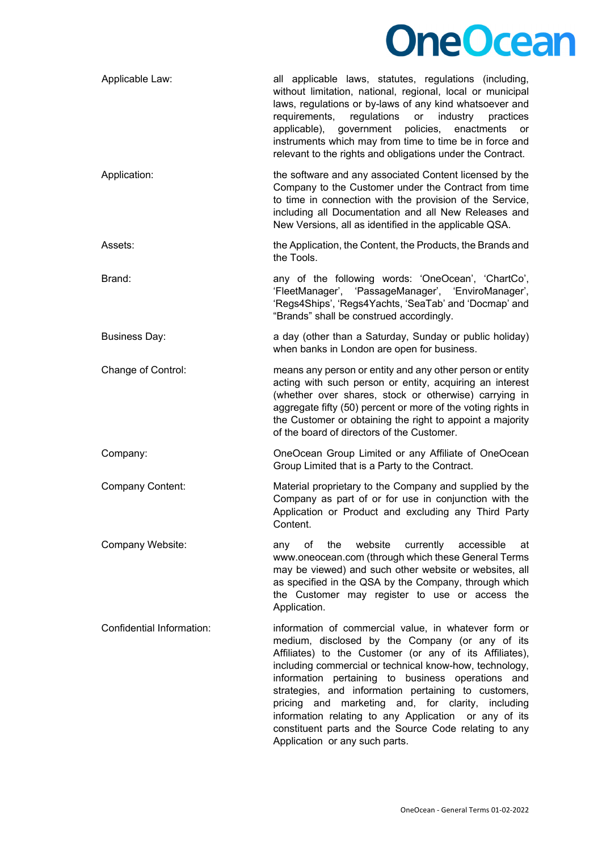| Applicable Law:           | all applicable laws, statutes, regulations (including,<br>without limitation, national, regional, local or municipal<br>laws, regulations or by-laws of any kind whatsoever and<br>requirements,<br>regulations<br>or<br>industry<br>practices<br>applicable),<br>government policies,<br>enactments<br>or<br>instruments which may from time to time be in force and<br>relevant to the rights and obligations under the Contract.                                                                                                                 |
|---------------------------|-----------------------------------------------------------------------------------------------------------------------------------------------------------------------------------------------------------------------------------------------------------------------------------------------------------------------------------------------------------------------------------------------------------------------------------------------------------------------------------------------------------------------------------------------------|
| Application:              | the software and any associated Content licensed by the<br>Company to the Customer under the Contract from time<br>to time in connection with the provision of the Service,<br>including all Documentation and all New Releases and<br>New Versions, all as identified in the applicable QSA.                                                                                                                                                                                                                                                       |
| Assets:                   | the Application, the Content, the Products, the Brands and<br>the Tools.                                                                                                                                                                                                                                                                                                                                                                                                                                                                            |
| Brand:                    | any of the following words: 'OneOcean', 'ChartCo',<br>'FleetManager', 'PassageManager', 'EnviroManager',<br>'Regs4Ships', 'Regs4Yachts, 'SeaTab' and 'Docmap' and<br>"Brands" shall be construed accordingly.                                                                                                                                                                                                                                                                                                                                       |
| <b>Business Day:</b>      | a day (other than a Saturday, Sunday or public holiday)<br>when banks in London are open for business.                                                                                                                                                                                                                                                                                                                                                                                                                                              |
| Change of Control:        | means any person or entity and any other person or entity<br>acting with such person or entity, acquiring an interest<br>(whether over shares, stock or otherwise) carrying in<br>aggregate fifty (50) percent or more of the voting rights in<br>the Customer or obtaining the right to appoint a majority<br>of the board of directors of the Customer.                                                                                                                                                                                           |
| Company:                  | OneOcean Group Limited or any Affiliate of OneOcean<br>Group Limited that is a Party to the Contract.                                                                                                                                                                                                                                                                                                                                                                                                                                               |
| Company Content:          | Material proprietary to the Company and supplied by the<br>Company as part of or for use in conjunction with the<br>Application or Product and excluding any Third Party<br>Content.                                                                                                                                                                                                                                                                                                                                                                |
| Company Website:          | website<br>currently<br>accessible<br>any<br>of<br>the<br>at<br>www.oneocean.com (through which these General Terms<br>may be viewed) and such other website or websites, all<br>as specified in the QSA by the Company, through which<br>the Customer may register to use or access the<br>Application.                                                                                                                                                                                                                                            |
| Confidential Information: | information of commercial value, in whatever form or<br>medium, disclosed by the Company (or any of its<br>Affiliates) to the Customer (or any of its Affiliates),<br>including commercial or technical know-how, technology,<br>information pertaining to business operations and<br>strategies, and information pertaining to customers,<br>pricing and marketing and, for clarity, including<br>information relating to any Application or any of its<br>constituent parts and the Source Code relating to any<br>Application or any such parts. |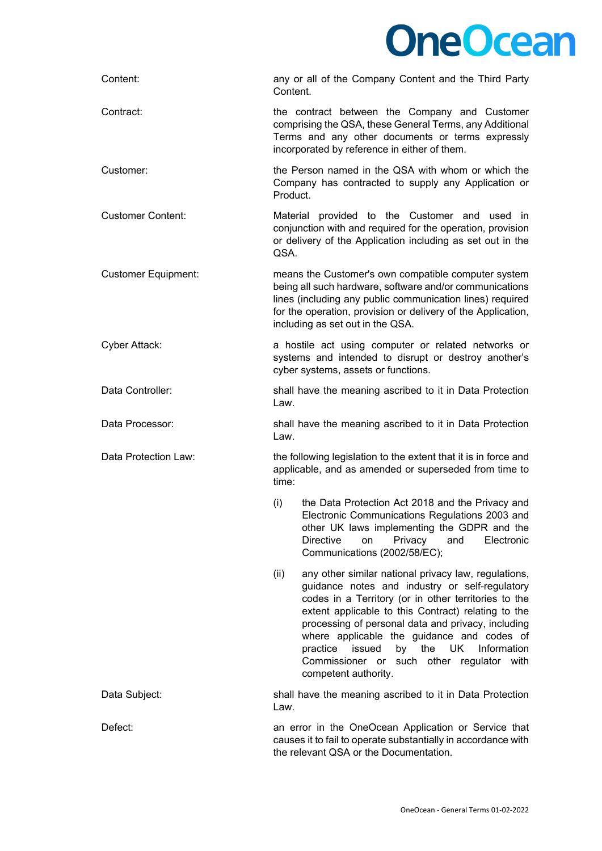

| Content:                   | any or all of the Company Content and the Third Party<br>Content.                                                                                                                                                                                                                                                                                                                                                                                           |
|----------------------------|-------------------------------------------------------------------------------------------------------------------------------------------------------------------------------------------------------------------------------------------------------------------------------------------------------------------------------------------------------------------------------------------------------------------------------------------------------------|
| Contract:                  | the contract between the Company and Customer<br>comprising the QSA, these General Terms, any Additional<br>Terms and any other documents or terms expressly<br>incorporated by reference in either of them.                                                                                                                                                                                                                                                |
| Customer:                  | the Person named in the QSA with whom or which the<br>Company has contracted to supply any Application or<br>Product.                                                                                                                                                                                                                                                                                                                                       |
| <b>Customer Content:</b>   | Material provided to the Customer and used in<br>conjunction with and required for the operation, provision<br>or delivery of the Application including as set out in the<br>QSA.                                                                                                                                                                                                                                                                           |
| <b>Customer Equipment:</b> | means the Customer's own compatible computer system<br>being all such hardware, software and/or communications<br>lines (including any public communication lines) required<br>for the operation, provision or delivery of the Application,<br>including as set out in the QSA.                                                                                                                                                                             |
| <b>Cyber Attack:</b>       | a hostile act using computer or related networks or<br>systems and intended to disrupt or destroy another's<br>cyber systems, assets or functions.                                                                                                                                                                                                                                                                                                          |
| Data Controller:           | shall have the meaning ascribed to it in Data Protection<br>Law.                                                                                                                                                                                                                                                                                                                                                                                            |
| Data Processor:            | shall have the meaning ascribed to it in Data Protection<br>Law.                                                                                                                                                                                                                                                                                                                                                                                            |
| Data Protection Law:       | the following legislation to the extent that it is in force and<br>applicable, and as amended or superseded from time to<br>time:                                                                                                                                                                                                                                                                                                                           |
|                            | the Data Protection Act 2018 and the Privacy and<br>(i)<br>Electronic Communications Regulations 2003 and<br>other UK laws implementing the GDPR and the<br><b>Directive</b><br>Privacy<br>and<br>Electronic<br>on<br>Communications (2002/58/EC);                                                                                                                                                                                                          |
|                            | any other similar national privacy law, regulations,<br>(ii)<br>guidance notes and industry or self-regulatory<br>codes in a Territory (or in other territories to the<br>extent applicable to this Contract) relating to the<br>processing of personal data and privacy, including<br>where applicable the guidance and codes of<br>issued<br>the UK<br>Information<br>practice<br>by<br>Commissioner or such other regulator with<br>competent authority. |
| Data Subject:              | shall have the meaning ascribed to it in Data Protection<br>Law.                                                                                                                                                                                                                                                                                                                                                                                            |
| Defect:                    | an error in the OneOcean Application or Service that<br>causes it to fail to operate substantially in accordance with<br>the relevant QSA or the Documentation.                                                                                                                                                                                                                                                                                             |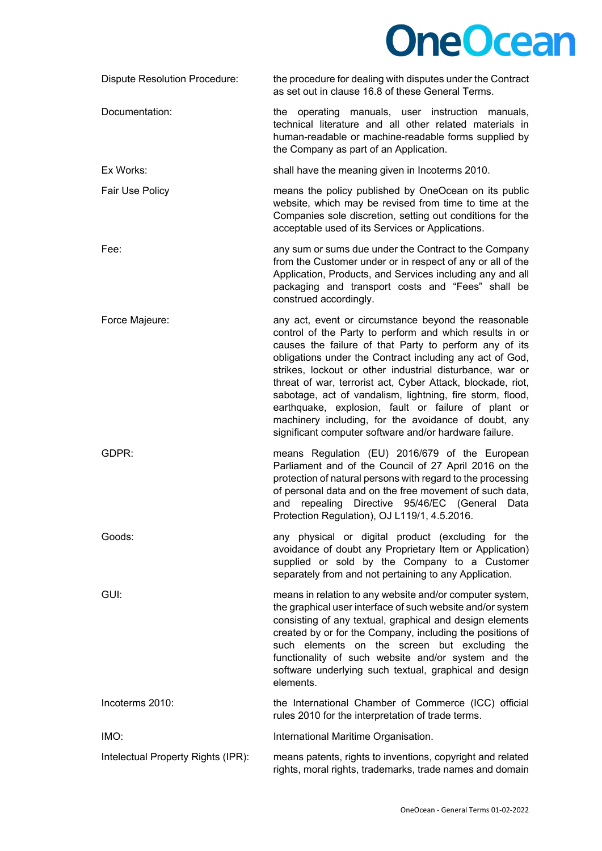| <b>Dispute Resolution Procedure:</b> | the procedure for dealing with disputes under the Contract<br>as set out in clause 16.8 of these General Terms.                                                                                                                                                                                                                                                                                                                                                                                                                                                                                        |
|--------------------------------------|--------------------------------------------------------------------------------------------------------------------------------------------------------------------------------------------------------------------------------------------------------------------------------------------------------------------------------------------------------------------------------------------------------------------------------------------------------------------------------------------------------------------------------------------------------------------------------------------------------|
| Documentation:                       | the operating manuals, user instruction manuals,<br>technical literature and all other related materials in<br>human-readable or machine-readable forms supplied by<br>the Company as part of an Application.                                                                                                                                                                                                                                                                                                                                                                                          |
| Ex Works:                            | shall have the meaning given in Incoterms 2010.                                                                                                                                                                                                                                                                                                                                                                                                                                                                                                                                                        |
| Fair Use Policy                      | means the policy published by OneOcean on its public<br>website, which may be revised from time to time at the<br>Companies sole discretion, setting out conditions for the<br>acceptable used of its Services or Applications.                                                                                                                                                                                                                                                                                                                                                                        |
| Fee:                                 | any sum or sums due under the Contract to the Company<br>from the Customer under or in respect of any or all of the<br>Application, Products, and Services including any and all<br>packaging and transport costs and "Fees" shall be<br>construed accordingly.                                                                                                                                                                                                                                                                                                                                        |
| Force Majeure:                       | any act, event or circumstance beyond the reasonable<br>control of the Party to perform and which results in or<br>causes the failure of that Party to perform any of its<br>obligations under the Contract including any act of God,<br>strikes, lockout or other industrial disturbance, war or<br>threat of war, terrorist act, Cyber Attack, blockade, riot,<br>sabotage, act of vandalism, lightning, fire storm, flood,<br>earthquake, explosion, fault or failure of plant or<br>machinery including, for the avoidance of doubt, any<br>significant computer software and/or hardware failure. |
| GDPR:                                | means Regulation (EU) 2016/679 of the European<br>Parliament and of the Council of 27 April 2016 on the<br>protection of natural persons with regard to the processing<br>of personal data and on the free movement of such data,<br>Directive 95/46/EC (General<br>repealing<br>and<br>Data<br>Protection Regulation), OJ L119/1, 4.5.2016.                                                                                                                                                                                                                                                           |
| Goods:                               | any physical or digital product (excluding for the<br>avoidance of doubt any Proprietary Item or Application)<br>supplied or sold by the Company to a Customer<br>separately from and not pertaining to any Application.                                                                                                                                                                                                                                                                                                                                                                               |
| GUI:                                 | means in relation to any website and/or computer system,<br>the graphical user interface of such website and/or system<br>consisting of any textual, graphical and design elements<br>created by or for the Company, including the positions of<br>such elements on the screen but excluding the<br>functionality of such website and/or system and the<br>software underlying such textual, graphical and design<br>elements.                                                                                                                                                                         |
| Incoterms 2010:                      | the International Chamber of Commerce (ICC) official<br>rules 2010 for the interpretation of trade terms.                                                                                                                                                                                                                                                                                                                                                                                                                                                                                              |
| IMO:                                 | International Maritime Organisation.                                                                                                                                                                                                                                                                                                                                                                                                                                                                                                                                                                   |
| Intelectual Property Rights (IPR):   | means patents, rights to inventions, copyright and related<br>rights, moral rights, trademarks, trade names and domain                                                                                                                                                                                                                                                                                                                                                                                                                                                                                 |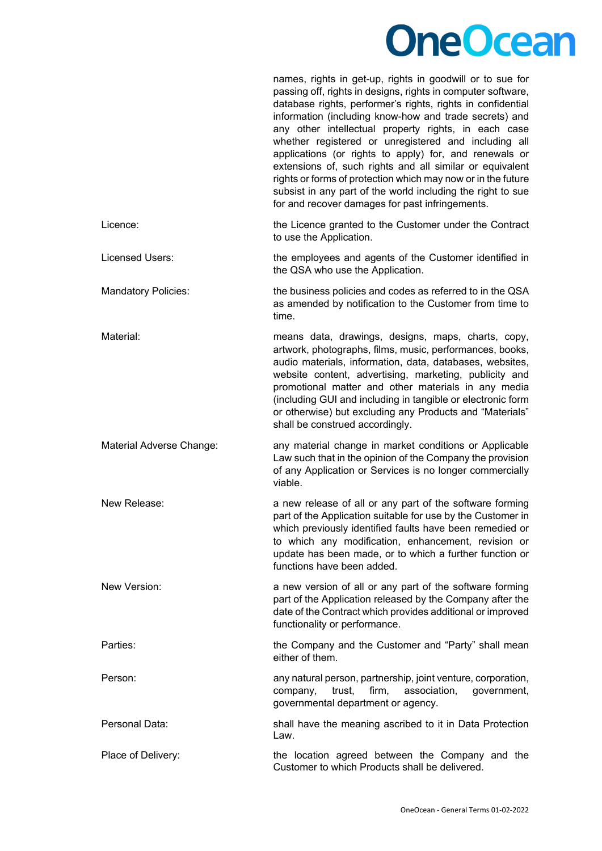names, rights in get-up, rights in goodwill or to sue for passing off, rights in designs, rights in computer software,

|                            | database rights, performer's rights, rights in confidential<br>information (including know-how and trade secrets) and<br>any other intellectual property rights, in each case<br>whether registered or unregistered and including all<br>applications (or rights to apply) for, and renewals or<br>extensions of, such rights and all similar or equivalent<br>rights or forms of protection which may now or in the future<br>subsist in any part of the world including the right to sue<br>for and recover damages for past infringements. |
|----------------------------|-----------------------------------------------------------------------------------------------------------------------------------------------------------------------------------------------------------------------------------------------------------------------------------------------------------------------------------------------------------------------------------------------------------------------------------------------------------------------------------------------------------------------------------------------|
| Licence:                   | the Licence granted to the Customer under the Contract<br>to use the Application.                                                                                                                                                                                                                                                                                                                                                                                                                                                             |
| Licensed Users:            | the employees and agents of the Customer identified in<br>the QSA who use the Application.                                                                                                                                                                                                                                                                                                                                                                                                                                                    |
| <b>Mandatory Policies:</b> | the business policies and codes as referred to in the QSA<br>as amended by notification to the Customer from time to<br>time.                                                                                                                                                                                                                                                                                                                                                                                                                 |
| Material:                  | means data, drawings, designs, maps, charts, copy,<br>artwork, photographs, films, music, performances, books,<br>audio materials, information, data, databases, websites,<br>website content, advertising, marketing, publicity and<br>promotional matter and other materials in any media<br>(including GUI and including in tangible or electronic form<br>or otherwise) but excluding any Products and "Materials"<br>shall be construed accordingly.                                                                                     |
| Material Adverse Change:   | any material change in market conditions or Applicable<br>Law such that in the opinion of the Company the provision<br>of any Application or Services is no longer commercially<br>viable.                                                                                                                                                                                                                                                                                                                                                    |
| New Release:               | a new release of all or any part of the software forming<br>part of the Application suitable for use by the Customer in<br>which previously identified faults have been remedied or<br>to which any modification, enhancement, revision or<br>update has been made, or to which a further function or<br>functions have been added.                                                                                                                                                                                                           |
| New Version:               | a new version of all or any part of the software forming<br>part of the Application released by the Company after the<br>date of the Contract which provides additional or improved<br>functionality or performance.                                                                                                                                                                                                                                                                                                                          |
| Parties:                   | the Company and the Customer and "Party" shall mean<br>either of them.                                                                                                                                                                                                                                                                                                                                                                                                                                                                        |
| Person:                    | any natural person, partnership, joint venture, corporation,<br>firm,<br>company,<br>trust,<br>association,<br>government,<br>governmental department or agency.                                                                                                                                                                                                                                                                                                                                                                              |
| Personal Data:             | shall have the meaning ascribed to it in Data Protection<br>Law.                                                                                                                                                                                                                                                                                                                                                                                                                                                                              |
| Place of Delivery:         | the location agreed between the Company and the<br>Customer to which Products shall be delivered.                                                                                                                                                                                                                                                                                                                                                                                                                                             |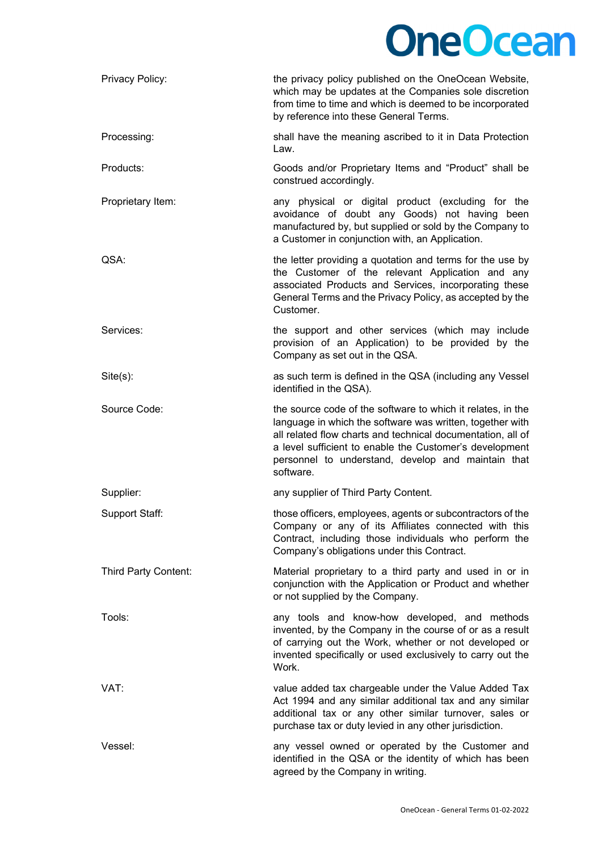| Privacy Policy:      | the privacy policy published on the OneOcean Website,<br>which may be updates at the Companies sole discretion<br>from time to time and which is deemed to be incorporated<br>by reference into these General Terms.                                                                                                  |
|----------------------|-----------------------------------------------------------------------------------------------------------------------------------------------------------------------------------------------------------------------------------------------------------------------------------------------------------------------|
| Processing:          | shall have the meaning ascribed to it in Data Protection<br>Law.                                                                                                                                                                                                                                                      |
| Products:            | Goods and/or Proprietary Items and "Product" shall be<br>construed accordingly.                                                                                                                                                                                                                                       |
| Proprietary Item:    | any physical or digital product (excluding for the<br>avoidance of doubt any Goods) not having been<br>manufactured by, but supplied or sold by the Company to<br>a Customer in conjunction with, an Application.                                                                                                     |
| QSA:                 | the letter providing a quotation and terms for the use by<br>the Customer of the relevant Application and any<br>associated Products and Services, incorporating these<br>General Terms and the Privacy Policy, as accepted by the<br>Customer.                                                                       |
| Services:            | the support and other services (which may include<br>provision of an Application) to be provided by the<br>Company as set out in the QSA.                                                                                                                                                                             |
| $Site(s)$ :          | as such term is defined in the QSA (including any Vessel<br>identified in the QSA).                                                                                                                                                                                                                                   |
| Source Code:         | the source code of the software to which it relates, in the<br>language in which the software was written, together with<br>all related flow charts and technical documentation, all of<br>a level sufficient to enable the Customer's development<br>personnel to understand, develop and maintain that<br>software. |
| Supplier:            | any supplier of Third Party Content.                                                                                                                                                                                                                                                                                  |
| Support Staff:       | those officers, employees, agents or subcontractors of the<br>Company or any of its Affiliates connected with this<br>Contract, including those individuals who perform the<br>Company's obligations under this Contract.                                                                                             |
| Third Party Content: | Material proprietary to a third party and used in or in<br>conjunction with the Application or Product and whether<br>or not supplied by the Company.                                                                                                                                                                 |
| Tools:               | any tools and know-how developed, and methods<br>invented, by the Company in the course of or as a result<br>of carrying out the Work, whether or not developed or<br>invented specifically or used exclusively to carry out the<br>Work.                                                                             |
| VAT:                 | value added tax chargeable under the Value Added Tax<br>Act 1994 and any similar additional tax and any similar<br>additional tax or any other similar turnover, sales or<br>purchase tax or duty levied in any other jurisdiction.                                                                                   |
| Vessel:              | any vessel owned or operated by the Customer and<br>identified in the QSA or the identity of which has been<br>agreed by the Company in writing.                                                                                                                                                                      |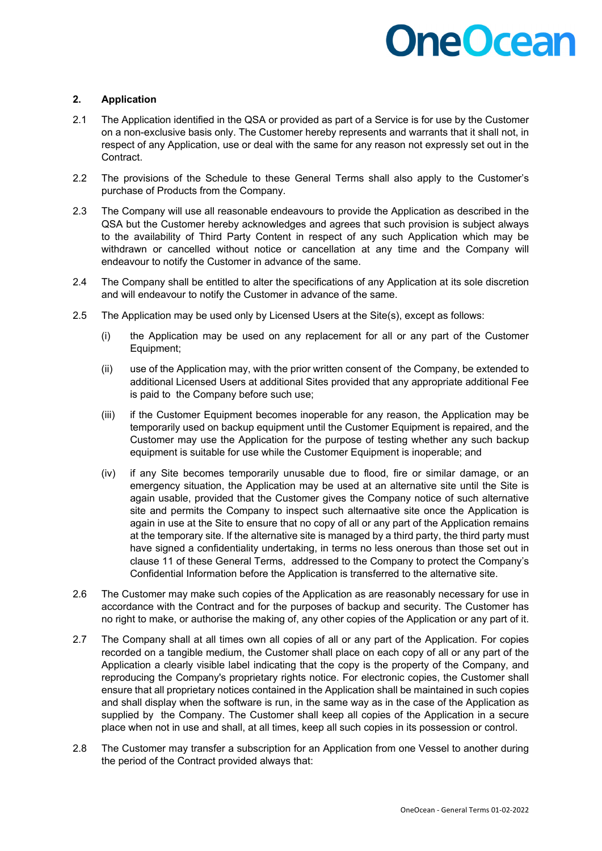### **2. Application**

- 2.1 The Application identified in the QSA or provided as part of a Service is for use by the Customer on a non-exclusive basis only. The Customer hereby represents and warrants that it shall not, in respect of any Application, use or deal with the same for any reason not expressly set out in the Contract.
- 2.2 The provisions of the Schedule to these General Terms shall also apply to the Customer's purchase of Products from the Company.
- 2.3 The Company will use all reasonable endeavours to provide the Application as described in the QSA but the Customer hereby acknowledges and agrees that such provision is subject always to the availability of Third Party Content in respect of any such Application which may be withdrawn or cancelled without notice or cancellation at any time and the Company will endeavour to notify the Customer in advance of the same.
- 2.4 The Company shall be entitled to alter the specifications of any Application at its sole discretion and will endeavour to notify the Customer in advance of the same.
- 2.5 The Application may be used only by Licensed Users at the Site(s), except as follows:
	- (i) the Application may be used on any replacement for all or any part of the Customer Equipment;
	- (ii) use of the Application may, with the prior written consent of the Company, be extended to additional Licensed Users at additional Sites provided that any appropriate additional Fee is paid to the Company before such use;
	- (iii) if the Customer Equipment becomes inoperable for any reason, the Application may be temporarily used on backup equipment until the Customer Equipment is repaired, and the Customer may use the Application for the purpose of testing whether any such backup equipment is suitable for use while the Customer Equipment is inoperable; and
	- (iv) if any Site becomes temporarily unusable due to flood, fire or similar damage, or an emergency situation, the Application may be used at an alternative site until the Site is again usable, provided that the Customer gives the Company notice of such alternative site and permits the Company to inspect such alternaative site once the Application is again in use at the Site to ensure that no copy of all or any part of the Application remains at the temporary site. If the alternative site is managed by a third party, the third party must have signed a confidentiality undertaking, in terms no less onerous than those set out in clause 11 of these General Terms, addressed to the Company to protect the Company's Confidential Information before the Application is transferred to the alternative site.
- 2.6 The Customer may make such copies of the Application as are reasonably necessary for use in accordance with the Contract and for the purposes of backup and security. The Customer has no right to make, or authorise the making of, any other copies of the Application or any part of it.
- 2.7 The Company shall at all times own all copies of all or any part of the Application. For copies recorded on a tangible medium, the Customer shall place on each copy of all or any part of the Application a clearly visible label indicating that the copy is the property of the Company, and reproducing the Company's proprietary rights notice. For electronic copies, the Customer shall ensure that all proprietary notices contained in the Application shall be maintained in such copies and shall display when the software is run, in the same way as in the case of the Application as supplied by the Company. The Customer shall keep all copies of the Application in a secure place when not in use and shall, at all times, keep all such copies in its possession or control.
- 2.8 The Customer may transfer a subscription for an Application from one Vessel to another during the period of the Contract provided always that: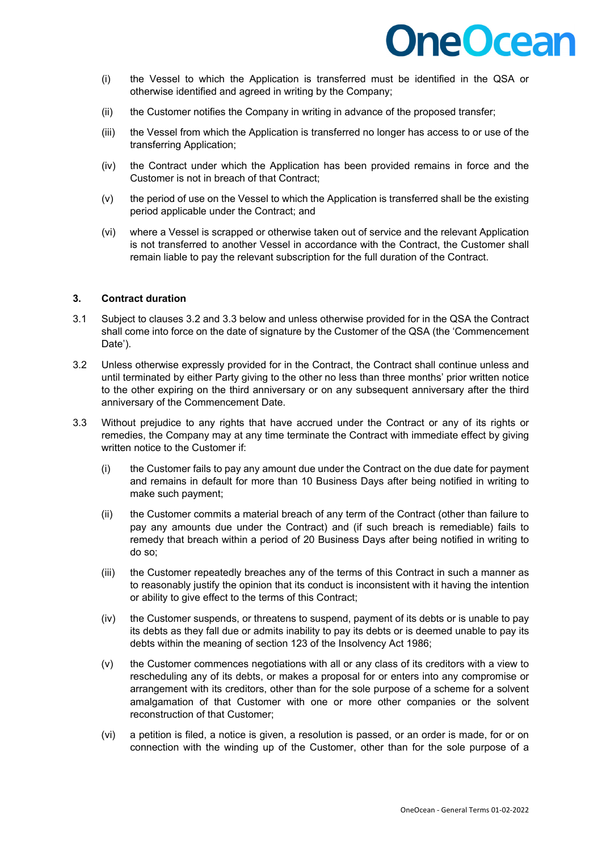- (i) the Vessel to which the Application is transferred must be identified in the QSA or otherwise identified and agreed in writing by the Company;
- (ii) the Customer notifies the Company in writing in advance of the proposed transfer;
- (iii) the Vessel from which the Application is transferred no longer has access to or use of the transferring Application;
- (iv) the Contract under which the Application has been provided remains in force and the Customer is not in breach of that Contract;
- (v) the period of use on the Vessel to which the Application is transferred shall be the existing period applicable under the Contract; and
- (vi) where a Vessel is scrapped or otherwise taken out of service and the relevant Application is not transferred to another Vessel in accordance with the Contract, the Customer shall remain liable to pay the relevant subscription for the full duration of the Contract.

### **3. Contract duration**

- 3.1 Subject to clauses 3.2 and 3.3 below and unless otherwise provided for in the QSA the Contract shall come into force on the date of signature by the Customer of the QSA (the 'Commencement Date').
- 3.2 Unless otherwise expressly provided for in the Contract, the Contract shall continue unless and until terminated by either Party giving to the other no less than three months' prior written notice to the other expiring on the third anniversary or on any subsequent anniversary after the third anniversary of the Commencement Date.
- 3.3 Without prejudice to any rights that have accrued under the Contract or any of its rights or remedies, the Company may at any time terminate the Contract with immediate effect by giving written notice to the Customer if:
	- (i) the Customer fails to pay any amount due under the Contract on the due date for payment and remains in default for more than 10 Business Days after being notified in writing to make such payment;
	- (ii) the Customer commits a material breach of any term of the Contract (other than failure to pay any amounts due under the Contract) and (if such breach is remediable) fails to remedy that breach within a period of 20 Business Days after being notified in writing to do so;
	- (iii) the Customer repeatedly breaches any of the terms of this Contract in such a manner as to reasonably justify the opinion that its conduct is inconsistent with it having the intention or ability to give effect to the terms of this Contract;
	- (iv) the Customer suspends, or threatens to suspend, payment of its debts or is unable to pay its debts as they fall due or admits inability to pay its debts or is deemed unable to pay its debts within the meaning of section 123 of the Insolvency Act 1986;
	- (v) the Customer commences negotiations with all or any class of its creditors with a view to rescheduling any of its debts, or makes a proposal for or enters into any compromise or arrangement with its creditors, other than for the sole purpose of a scheme for a solvent amalgamation of that Customer with one or more other companies or the solvent reconstruction of that Customer;
	- (vi) a petition is filed, a notice is given, a resolution is passed, or an order is made, for or on connection with the winding up of the Customer, other than for the sole purpose of a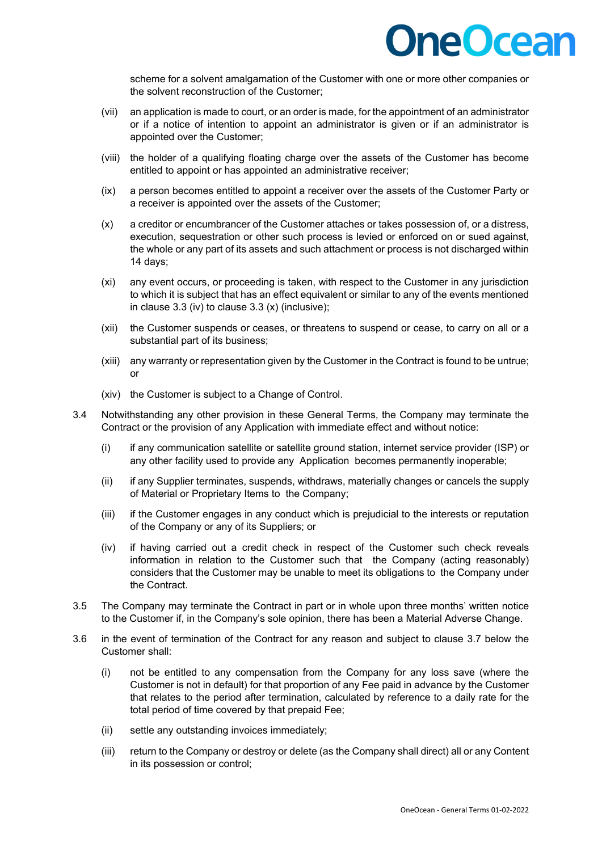

scheme for a solvent amalgamation of the Customer with one or more other companies or the solvent reconstruction of the Customer;

- (vii) an application is made to court, or an order is made, for the appointment of an administrator or if a notice of intention to appoint an administrator is given or if an administrator is appointed over the Customer;
- (viii) the holder of a qualifying floating charge over the assets of the Customer has become entitled to appoint or has appointed an administrative receiver;
- (ix) a person becomes entitled to appoint a receiver over the assets of the Customer Party or a receiver is appointed over the assets of the Customer;
- (x) a creditor or encumbrancer of the Customer attaches or takes possession of, or a distress, execution, sequestration or other such process is levied or enforced on or sued against, the whole or any part of its assets and such attachment or process is not discharged within 14 days;
- (xi) any event occurs, or proceeding is taken, with respect to the Customer in any jurisdiction to which it is subject that has an effect equivalent or similar to any of the events mentioned in clause 3.3 (iv) to clause 3.3 (x) (inclusive);
- (xii) the Customer suspends or ceases, or threatens to suspend or cease, to carry on all or a substantial part of its business;
- (xiii) any warranty or representation given by the Customer in the Contract is found to be untrue; or
- (xiv) the Customer is subject to a Change of Control.
- 3.4 Notwithstanding any other provision in these General Terms, the Company may terminate the Contract or the provision of any Application with immediate effect and without notice:
	- (i) if any communication satellite or satellite ground station, internet service provider (ISP) or any other facility used to provide any Application becomes permanently inoperable;
	- (ii) if any Supplier terminates, suspends, withdraws, materially changes or cancels the supply of Material or Proprietary Items to the Company;
	- (iii) if the Customer engages in any conduct which is prejudicial to the interests or reputation of the Company or any of its Suppliers; or
	- (iv) if having carried out a credit check in respect of the Customer such check reveals information in relation to the Customer such that the Company (acting reasonably) considers that the Customer may be unable to meet its obligations to the Company under the Contract.
- 3.5 The Company may terminate the Contract in part or in whole upon three months' written notice to the Customer if, in the Company's sole opinion, there has been a Material Adverse Change.
- 3.6 in the event of termination of the Contract for any reason and subject to clause 3.7 below the Customer shall:
	- (i) not be entitled to any compensation from the Company for any loss save (where the Customer is not in default) for that proportion of any Fee paid in advance by the Customer that relates to the period after termination, calculated by reference to a daily rate for the total period of time covered by that prepaid Fee;
	- (ii) settle any outstanding invoices immediately;
	- (iii) return to the Company or destroy or delete (as the Company shall direct) all or any Content in its possession or control;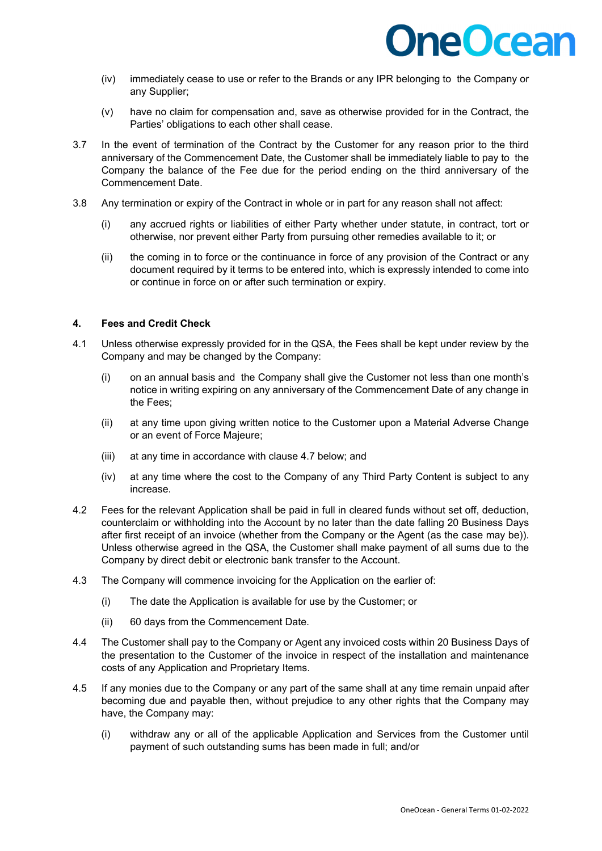

- (iv) immediately cease to use or refer to the Brands or any IPR belonging to the Company or any Supplier;
- (v) have no claim for compensation and, save as otherwise provided for in the Contract, the Parties' obligations to each other shall cease.
- 3.7 In the event of termination of the Contract by the Customer for any reason prior to the third anniversary of the Commencement Date, the Customer shall be immediately liable to pay to the Company the balance of the Fee due for the period ending on the third anniversary of the Commencement Date.
- 3.8 Any termination or expiry of the Contract in whole or in part for any reason shall not affect:
	- (i) any accrued rights or liabilities of either Party whether under statute, in contract, tort or otherwise, nor prevent either Party from pursuing other remedies available to it; or
	- (ii) the coming in to force or the continuance in force of any provision of the Contract or any document required by it terms to be entered into, which is expressly intended to come into or continue in force on or after such termination or expiry.

#### **4. Fees and Credit Check**

- 4.1 Unless otherwise expressly provided for in the QSA, the Fees shall be kept under review by the Company and may be changed by the Company:
	- (i) on an annual basis and the Company shall give the Customer not less than one month's notice in writing expiring on any anniversary of the Commencement Date of any change in the Fees;
	- (ii) at any time upon giving written notice to the Customer upon a Material Adverse Change or an event of Force Majeure;
	- (iii) at any time in accordance with clause 4.7 below; and
	- (iv) at any time where the cost to the Company of any Third Party Content is subject to any increase.
- 4.2 Fees for the relevant Application shall be paid in full in cleared funds without set off, deduction, counterclaim or withholding into the Account by no later than the date falling 20 Business Days after first receipt of an invoice (whether from the Company or the Agent (as the case may be)). Unless otherwise agreed in the QSA, the Customer shall make payment of all sums due to the Company by direct debit or electronic bank transfer to the Account.
- 4.3 The Company will commence invoicing for the Application on the earlier of:
	- (i) The date the Application is available for use by the Customer; or
	- (ii) 60 days from the Commencement Date.
- 4.4 The Customer shall pay to the Company or Agent any invoiced costs within 20 Business Days of the presentation to the Customer of the invoice in respect of the installation and maintenance costs of any Application and Proprietary Items.
- 4.5 If any monies due to the Company or any part of the same shall at any time remain unpaid after becoming due and payable then, without prejudice to any other rights that the Company may have, the Company may:
	- (i) withdraw any or all of the applicable Application and Services from the Customer until payment of such outstanding sums has been made in full; and/or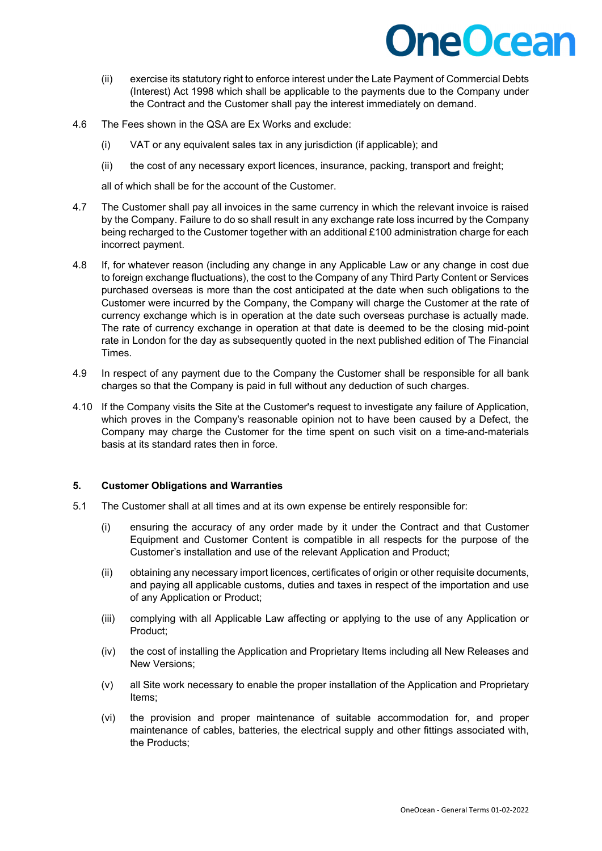- (ii) exercise its statutory right to enforce interest under the Late Payment of Commercial Debts (Interest) Act 1998 which shall be applicable to the payments due to the Company under the Contract and the Customer shall pay the interest immediately on demand.
- 4.6 The Fees shown in the QSA are Ex Works and exclude:
	- (i) VAT or any equivalent sales tax in any jurisdiction (if applicable); and
	- (ii) the cost of any necessary export licences, insurance, packing, transport and freight;

all of which shall be for the account of the Customer.

- 4.7 The Customer shall pay all invoices in the same currency in which the relevant invoice is raised by the Company. Failure to do so shall result in any exchange rate loss incurred by the Company being recharged to the Customer together with an additional £100 administration charge for each incorrect payment.
- 4.8 If, for whatever reason (including any change in any Applicable Law or any change in cost due to foreign exchange fluctuations), the cost to the Company of any Third Party Content or Services purchased overseas is more than the cost anticipated at the date when such obligations to the Customer were incurred by the Company, the Company will charge the Customer at the rate of currency exchange which is in operation at the date such overseas purchase is actually made. The rate of currency exchange in operation at that date is deemed to be the closing mid-point rate in London for the day as subsequently quoted in the next published edition of The Financial Times.
- 4.9 In respect of any payment due to the Company the Customer shall be responsible for all bank charges so that the Company is paid in full without any deduction of such charges.
- 4.10 If the Company visits the Site at the Customer's request to investigate any failure of Application, which proves in the Company's reasonable opinion not to have been caused by a Defect, the Company may charge the Customer for the time spent on such visit on a time-and-materials basis at its standard rates then in force.

### **5. Customer Obligations and Warranties**

- 5.1 The Customer shall at all times and at its own expense be entirely responsible for:
	- (i) ensuring the accuracy of any order made by it under the Contract and that Customer Equipment and Customer Content is compatible in all respects for the purpose of the Customer's installation and use of the relevant Application and Product;
	- (ii) obtaining any necessary import licences, certificates of origin or other requisite documents, and paying all applicable customs, duties and taxes in respect of the importation and use of any Application or Product;
	- (iii) complying with all Applicable Law affecting or applying to the use of any Application or Product;
	- (iv) the cost of installing the Application and Proprietary Items including all New Releases and New Versions;
	- (v) all Site work necessary to enable the proper installation of the Application and Proprietary Items;
	- (vi) the provision and proper maintenance of suitable accommodation for, and proper maintenance of cables, batteries, the electrical supply and other fittings associated with, the Products;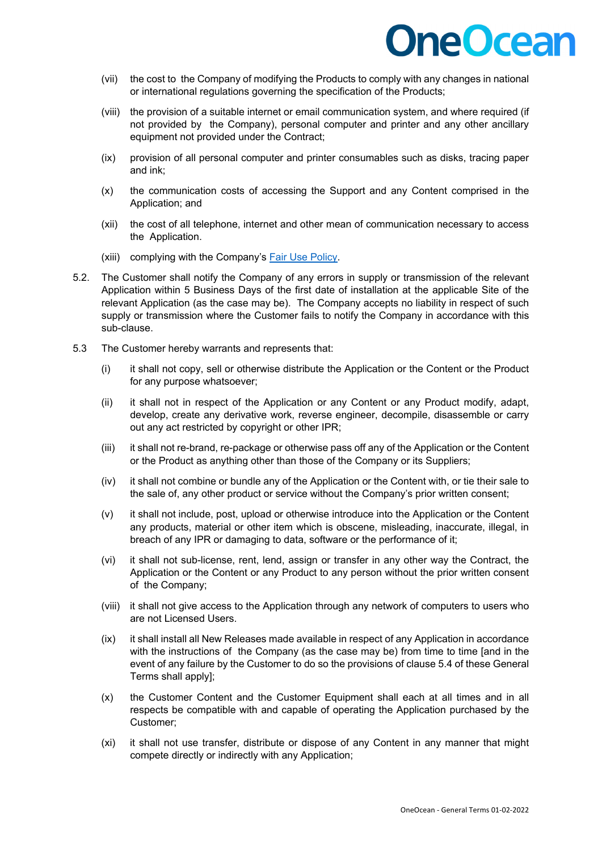### **DneOcean**

- (vii) the cost to the Company of modifying the Products to comply with any changes in national or international regulations governing the specification of the Products;
- (viii) the provision of a suitable internet or email communication system, and where required (if not provided by the Company), personal computer and printer and any other ancillary equipment not provided under the Contract;
- (ix) provision of all personal computer and printer consumables such as disks, tracing paper and ink;
- (x) the communication costs of accessing the Support and any Content comprised in the Application; and
- (xii) the cost of all telephone, internet and other mean of communication necessary to access the Application.
- (xiii) complying with the Company's **Fair Use Policy**.
- 5.2. The Customer shall notify the Company of any errors in supply or transmission of the relevant Application within 5 Business Days of the first date of installation at the applicable Site of the relevant Application (as the case may be). The Company accepts no liability in respect of such supply or transmission where the Customer fails to notify the Company in accordance with this sub-clause.
- 5.3 The Customer hereby warrants and represents that:
	- (i) it shall not copy, sell or otherwise distribute the Application or the Content or the Product for any purpose whatsoever;
	- (ii) it shall not in respect of the Application or any Content or any Product modify, adapt, develop, create any derivative work, reverse engineer, decompile, disassemble or carry out any act restricted by copyright or other IPR;
	- (iii) it shall not re-brand, re-package or otherwise pass off any of the Application or the Content or the Product as anything other than those of the Company or its Suppliers;
	- (iv) it shall not combine or bundle any of the Application or the Content with, or tie their sale to the sale of, any other product or service without the Company's prior written consent;
	- (v) it shall not include, post, upload or otherwise introduce into the Application or the Content any products, material or other item which is obscene, misleading, inaccurate, illegal, in breach of any IPR or damaging to data, software or the performance of it;
	- (vi) it shall not sub-license, rent, lend, assign or transfer in any other way the Contract, the Application or the Content or any Product to any person without the prior written consent of the Company;
	- (viii) it shall not give access to the Application through any network of computers to users who are not Licensed Users.
	- (ix) it shall install all New Releases made available in respect of any Application in accordance with the instructions of the Company (as the case may be) from time to time [and in the event of any failure by the Customer to do so the provisions of clause 5.4 of these General Terms shall apply];
	- (x) the Customer Content and the Customer Equipment shall each at all times and in all respects be compatible with and capable of operating the Application purchased by the Customer;
	- (xi) it shall not use transfer, distribute or dispose of any Content in any manner that might compete directly or indirectly with any Application;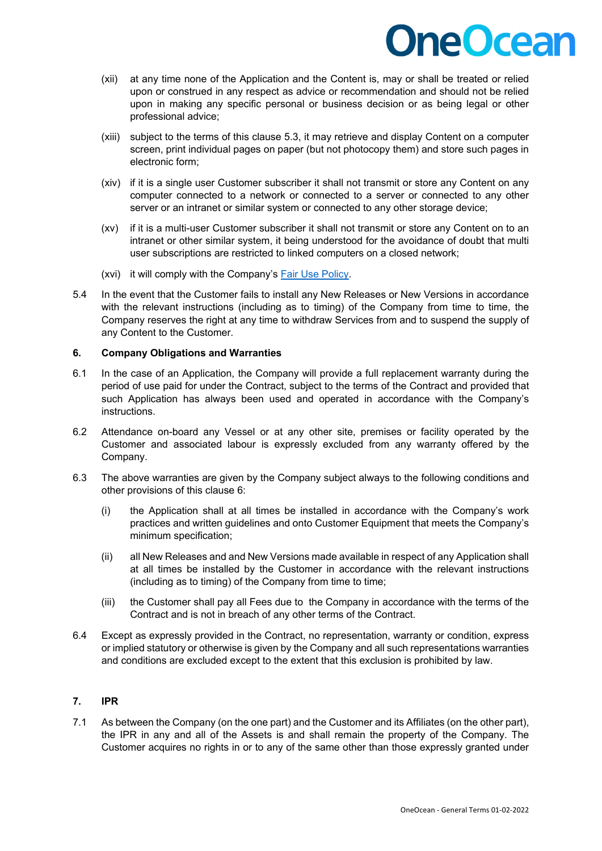# **DneOcean**

- (xii) at any time none of the Application and the Content is, may or shall be treated or relied upon or construed in any respect as advice or recommendation and should not be relied upon in making any specific personal or business decision or as being legal or other professional advice;
- (xiii) subject to the terms of this clause 5.3, it may retrieve and display Content on a computer screen, print individual pages on paper (but not photocopy them) and store such pages in electronic form;
- (xiv) if it is a single user Customer subscriber it shall not transmit or store any Content on any computer connected to a network or connected to a server or connected to any other server or an intranet or similar system or connected to any other storage device;
- (xv) if it is a multi-user Customer subscriber it shall not transmit or store any Content on to an intranet or other similar system, it being understood for the avoidance of doubt that multi user subscriptions are restricted to linked computers on a closed network;
- (xvi) it will comply with the Company's [Fair Use Policy.](https://www.oneocean.com/wp-content/uploads/2022/01/OneOcean-Fair-Use-Policy-1-02-2022.pdf)
- 5.4 In the event that the Customer fails to install any New Releases or New Versions in accordance with the relevant instructions (including as to timing) of the Company from time to time, the Company reserves the right at any time to withdraw Services from and to suspend the supply of any Content to the Customer.

### **6. Company Obligations and Warranties**

- 6.1 In the case of an Application, the Company will provide a full replacement warranty during the period of use paid for under the Contract, subject to the terms of the Contract and provided that such Application has always been used and operated in accordance with the Company's instructions.
- 6.2 Attendance on-board any Vessel or at any other site, premises or facility operated by the Customer and associated labour is expressly excluded from any warranty offered by the Company.
- 6.3 The above warranties are given by the Company subject always to the following conditions and other provisions of this clause 6:
	- (i) the Application shall at all times be installed in accordance with the Company's work practices and written guidelines and onto Customer Equipment that meets the Company's minimum specification;
	- (ii) all New Releases and and New Versions made available in respect of any Application shall at all times be installed by the Customer in accordance with the relevant instructions (including as to timing) of the Company from time to time;
	- (iii) the Customer shall pay all Fees due to the Company in accordance with the terms of the Contract and is not in breach of any other terms of the Contract.
- 6.4 Except as expressly provided in the Contract, no representation, warranty or condition, express or implied statutory or otherwise is given by the Company and all such representations warranties and conditions are excluded except to the extent that this exclusion is prohibited by law.

### **7. IPR**

7.1 As between the Company (on the one part) and the Customer and its Affiliates (on the other part), the IPR in any and all of the Assets is and shall remain the property of the Company. The Customer acquires no rights in or to any of the same other than those expressly granted under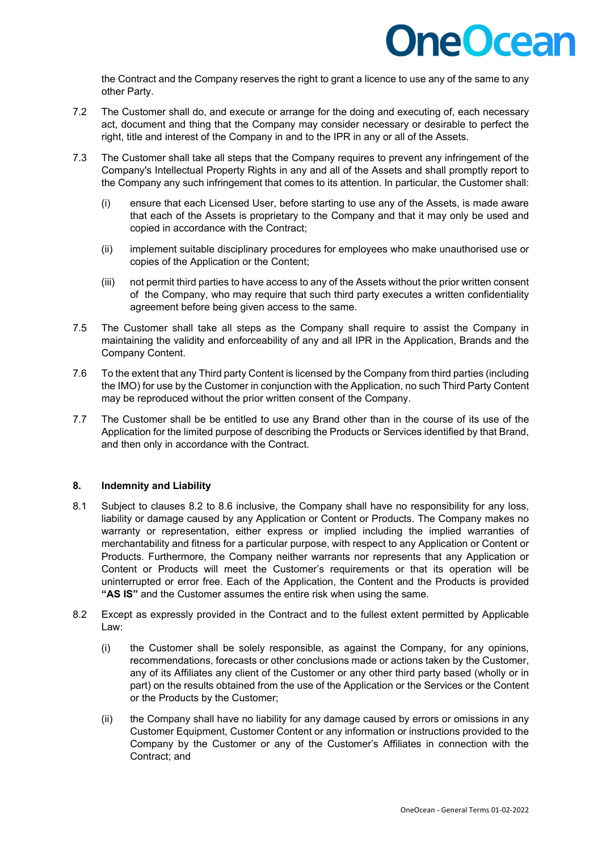

the Contract and the Company reserves the right to grant a licence to use any of the same to any other Party.

- 7.2 The Customer shall do, and execute or arrange for the doing and executing of, each necessary act, document and thing that the Company may consider necessary or desirable to perfect the right, title and interest of the Company in and to the IPR in any or all of the Assets.
- 7.3 The Customer shall take all steps that the Company requires to prevent any infringement of the Company's Intellectual Property Rights in any and all of the Assets and shall promptly report to the Company any such infringement that comes to its attention. In particular, the Customer shall:
	- (i) ensure that each Licensed User, before starting to use any of the Assets, is made aware that each of the Assets is proprietary to the Company and that it may only be used and copied in accordance with the Contract;
	- (ii) implement suitable disciplinary procedures for employees who make unauthorised use or copies of the Application or the Content;
	- (iii) not permit third parties to have access to any of the Assets without the prior written consent of the Company, who may require that such third party executes a written confidentiality agreement before being given access to the same.
- 7.5 The Customer shall take all steps as the Company shall require to assist the Company in maintaining the validity and enforceability of any and all IPR in the Application, Brands and the Company Content.
- 7.6 To the extent that any Third party Content is licensed by the Company from third parties (including the IMO) for use by the Customer in conjunction with the Application, no such Third Party Content may be reproduced without the prior written consent of the Company.
- 7.7 The Customer shall be be entitled to use any Brand other than in the course of its use of the Application for the limited purpose of describing the Products or Services identified by that Brand, and then only in accordance with the Contract.

### **8. Indemnity and Liability**

- 8.1 Subject to clauses 8.2 to 8.6 inclusive, the Company shall have no responsibility for any loss, liability or damage caused by any Application or Content or Products. The Company makes no warranty or representation, either express or implied including the implied warranties of merchantability and fitness for a particular purpose, with respect to any Application or Content or Products. Furthermore, the Company neither warrants nor represents that any Application or Content or Products will meet the Customer's requirements or that its operation will be uninterrupted or error free. Each of the Application, the Content and the Products is provided **"AS IS"** and the Customer assumes the entire risk when using the same.
- 8.2 Except as expressly provided in the Contract and to the fullest extent permitted by Applicable Law:
	- (i) the Customer shall be solely responsible, as against the Company, for any opinions, recommendations, forecasts or other conclusions made or actions taken by the Customer, any of its Affiliates any client of the Customer or any other third party based (wholly or in part) on the results obtained from the use of the Application or the Services or the Content or the Products by the Customer;
	- (ii) the Company shall have no liability for any damage caused by errors or omissions in any Customer Equipment, Customer Content or any information or instructions provided to the Company by the Customer or any of the Customer's Affiliates in connection with the Contract; and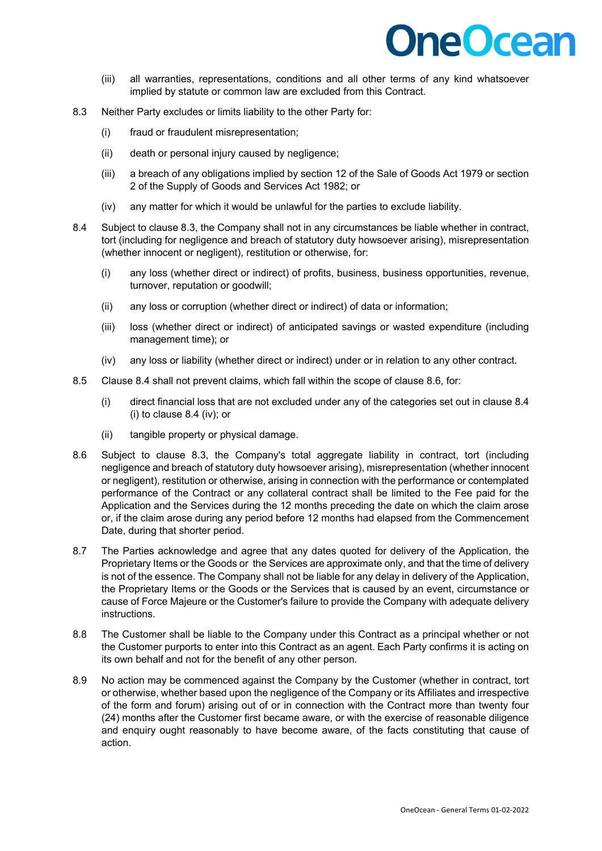- (iii) all warranties, representations, conditions and all other terms of any kind whatsoever implied by statute or common law are excluded from this Contract.
- 8.3 Neither Party excludes or limits liability to the other Party for:
	- (i) fraud or fraudulent misrepresentation;
	- (ii) death or personal injury caused by negligence;
	- (iii) a breach of any obligations implied by section 12 of the Sale of Goods Act 1979 or section 2 of the Supply of Goods and Services Act 1982; or
	- (iv) any matter for which it would be unlawful for the parties to exclude liability.
- 8.4 Subject to clause 8.3, the Company shall not in any circumstances be liable whether in contract, tort (including for negligence and breach of statutory duty howsoever arising), misrepresentation (whether innocent or negligent), restitution or otherwise, for:
	- (i) any loss (whether direct or indirect) of profits, business, business opportunities, revenue, turnover, reputation or goodwill;
	- (ii) any loss or corruption (whether direct or indirect) of data or information;
	- (iii) loss (whether direct or indirect) of anticipated savings or wasted expenditure (including management time); or
	- (iv) any loss or liability (whether direct or indirect) under or in relation to any other contract.
- 8.5 Clause 8.4 shall not prevent claims, which fall within the scope of clause 8.6, for:
	- (i) direct financial loss that are not excluded under any of the categories set out in clause 8.4 (i) to clause 8.4 (iv); or
	- (ii) tangible property or physical damage.
- 8.6 Subject to clause 8.3, the Company's total aggregate liability in contract, tort (including negligence and breach of statutory duty howsoever arising), misrepresentation (whether innocent or negligent), restitution or otherwise, arising in connection with the performance or contemplated performance of the Contract or any collateral contract shall be limited to the Fee paid for the Application and the Services during the 12 months preceding the date on which the claim arose or, if the claim arose during any period before 12 months had elapsed from the Commencement Date, during that shorter period.
- 8.7 The Parties acknowledge and agree that any dates quoted for delivery of the Application, the Proprietary Items or the Goods or the Services are approximate only, and that the time of delivery is not of the essence. The Company shall not be liable for any delay in delivery of the Application, the Proprietary Items or the Goods or the Services that is caused by an event, circumstance or cause of Force Majeure or the Customer's failure to provide the Company with adequate delivery instructions.
- 8.8 The Customer shall be liable to the Company under this Contract as a principal whether or not the Customer purports to enter into this Contract as an agent. Each Party confirms it is acting on its own behalf and not for the benefit of any other person.
- 8.9 No action may be commenced against the Company by the Customer (whether in contract, tort or otherwise, whether based upon the negligence of the Company or its Affiliates and irrespective of the form and forum) arising out of or in connection with the Contract more than twenty four (24) months after the Customer first became aware, or with the exercise of reasonable diligence and enquiry ought reasonably to have become aware, of the facts constituting that cause of action.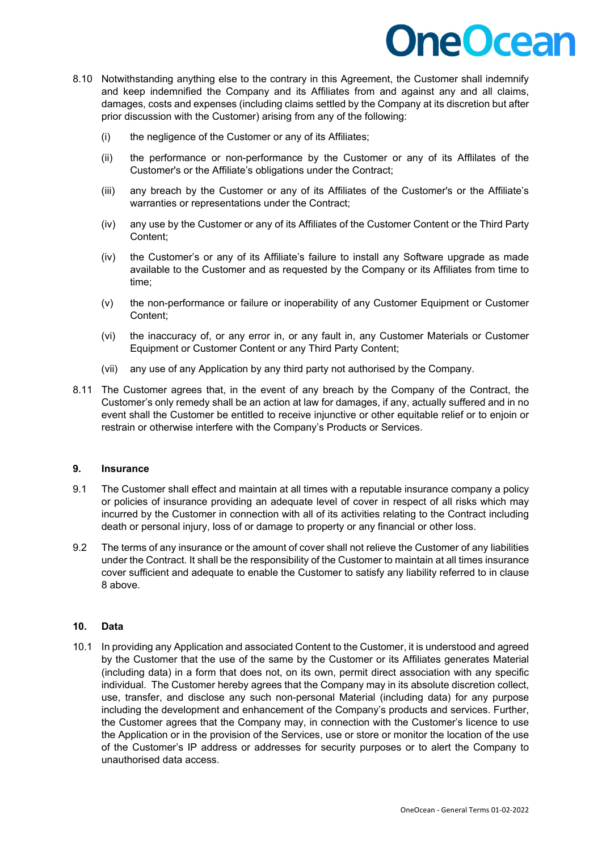## **DneOcean**

- 8.10 Notwithstanding anything else to the contrary in this Agreement, the Customer shall indemnify and keep indemnified the Company and its Affiliates from and against any and all claims, damages, costs and expenses (including claims settled by the Company at its discretion but after prior discussion with the Customer) arising from any of the following:
	- (i) the negligence of the Customer or any of its Affiliates;
	- (ii) the performance or non-performance by the Customer or any of its Afflilates of the Customer's or the Affiliate's obligations under the Contract;
	- (iii) any breach by the Customer or any of its Affiliates of the Customer's or the Affiliate's warranties or representations under the Contract;
	- (iv) any use by the Customer or any of its Affiliates of the Customer Content or the Third Party Content;
	- (iv) the Customer's or any of its Affiliate's failure to install any Software upgrade as made available to the Customer and as requested by the Company or its Affiliates from time to time;
	- (v) the non-performance or failure or inoperability of any Customer Equipment or Customer Content;
	- (vi) the inaccuracy of, or any error in, or any fault in, any Customer Materials or Customer Equipment or Customer Content or any Third Party Content;
	- (vii) any use of any Application by any third party not authorised by the Company.
- 8.11 The Customer agrees that, in the event of any breach by the Company of the Contract, the Customer's only remedy shall be an action at law for damages, if any, actually suffered and in no event shall the Customer be entitled to receive injunctive or other equitable relief or to enjoin or restrain or otherwise interfere with the Company's Products or Services.

### **9. Insurance**

- 9.1 The Customer shall effect and maintain at all times with a reputable insurance company a policy or policies of insurance providing an adequate level of cover in respect of all risks which may incurred by the Customer in connection with all of its activities relating to the Contract including death or personal injury, loss of or damage to property or any financial or other loss.
- 9.2 The terms of any insurance or the amount of cover shall not relieve the Customer of any liabilities under the Contract. It shall be the responsibility of the Customer to maintain at all times insurance cover sufficient and adequate to enable the Customer to satisfy any liability referred to in clause 8 above.

### **10. Data**

10.1 In providing any Application and associated Content to the Customer, it is understood and agreed by the Customer that the use of the same by the Customer or its Affiliates generates Material (including data) in a form that does not, on its own, permit direct association with any specific individual. The Customer hereby agrees that the Company may in its absolute discretion collect, use, transfer, and disclose any such non-personal Material (including data) for any purpose including the development and enhancement of the Company's products and services. Further, the Customer agrees that the Company may, in connection with the Customer's licence to use the Application or in the provision of the Services, use or store or monitor the location of the use of the Customer's IP address or addresses for security purposes or to alert the Company to unauthorised data access.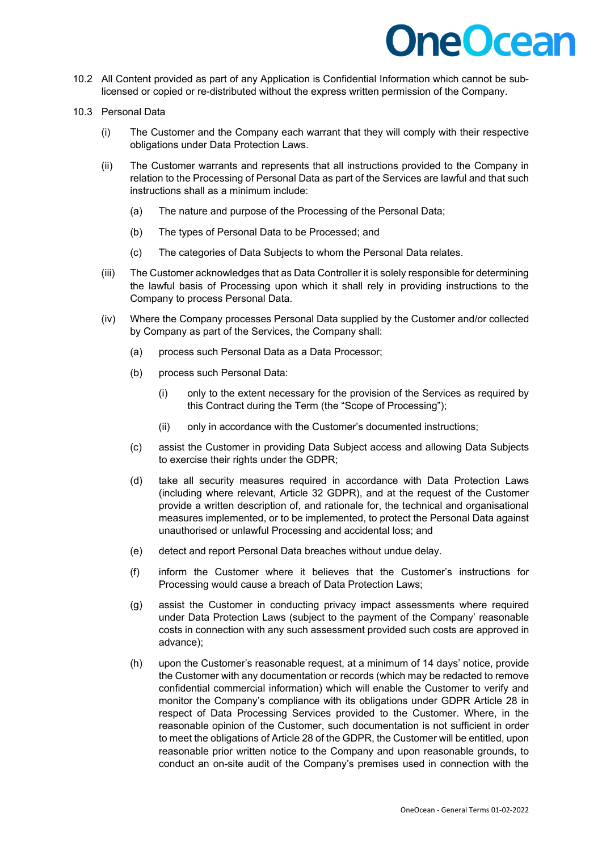- 10.2 All Content provided as part of any Application is Confidential Information which cannot be sublicensed or copied or re-distributed without the express written permission of the Company.
- 10.3 Personal Data
	- (i) The Customer and the Company each warrant that they will comply with their respective obligations under Data Protection Laws.
	- (ii) The Customer warrants and represents that all instructions provided to the Company in relation to the Processing of Personal Data as part of the Services are lawful and that such instructions shall as a minimum include:
		- (a) The nature and purpose of the Processing of the Personal Data;
		- (b) The types of Personal Data to be Processed; and
		- (c) The categories of Data Subjects to whom the Personal Data relates.
	- (iii) The Customer acknowledges that as Data Controller it is solely responsible for determining the lawful basis of Processing upon which it shall rely in providing instructions to the Company to process Personal Data.
	- (iv) Where the Company processes Personal Data supplied by the Customer and/or collected by Company as part of the Services, the Company shall:
		- (a) process such Personal Data as a Data Processor;
		- (b) process such Personal Data:
			- (i) only to the extent necessary for the provision of the Services as required by this Contract during the Term (the "Scope of Processing");
			- (ii) only in accordance with the Customer's documented instructions;
		- (c) assist the Customer in providing Data Subject access and allowing Data Subjects to exercise their rights under the GDPR:
		- (d) take all security measures required in accordance with Data Protection Laws (including where relevant, Article 32 GDPR), and at the request of the Customer provide a written description of, and rationale for, the technical and organisational measures implemented, or to be implemented, to protect the Personal Data against unauthorised or unlawful Processing and accidental loss; and
		- (e) detect and report Personal Data breaches without undue delay.
		- (f) inform the Customer where it believes that the Customer's instructions for Processing would cause a breach of Data Protection Laws;
		- (g) assist the Customer in conducting privacy impact assessments where required under Data Protection Laws (subject to the payment of the Company' reasonable costs in connection with any such assessment provided such costs are approved in advance);
		- (h) upon the Customer's reasonable request, at a minimum of 14 days' notice, provide the Customer with any documentation or records (which may be redacted to remove confidential commercial information) which will enable the Customer to verify and monitor the Company's compliance with its obligations under GDPR Article 28 in respect of Data Processing Services provided to the Customer. Where, in the reasonable opinion of the Customer, such documentation is not sufficient in order to meet the obligations of Article 28 of the GDPR, the Customer will be entitled, upon reasonable prior written notice to the Company and upon reasonable grounds, to conduct an on-site audit of the Company's premises used in connection with the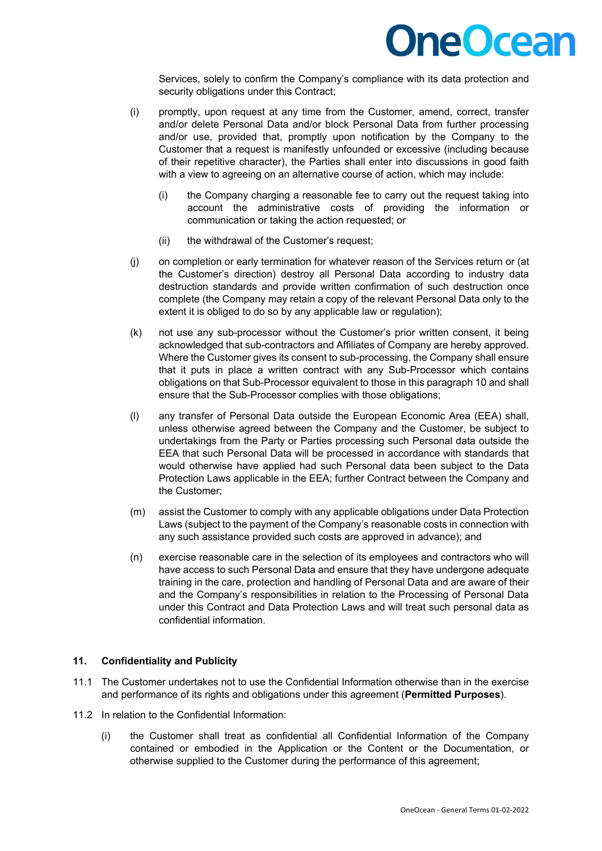

Services, solely to confirm the Company's compliance with its data protection and security obligations under this Contract;

- (i) promptly, upon request at any time from the Customer, amend, correct, transfer and/or delete Personal Data and/or block Personal Data from further processing and/or use, provided that, promptly upon notification by the Company to the Customer that a request is manifestly unfounded or excessive (including because of their repetitive character), the Parties shall enter into discussions in good faith with a view to agreeing on an alternative course of action, which may include:
	- (i) the Company charging a reasonable fee to carry out the request taking into account the administrative costs of providing the information or communication or taking the action requested; or
	- (ii) the withdrawal of the Customer's request;
- (j) on completion or early termination for whatever reason of the Services return or (at the Customer's direction) destroy all Personal Data according to industry data destruction standards and provide written confirmation of such destruction once complete (the Company may retain a copy of the relevant Personal Data only to the extent it is obliged to do so by any applicable law or regulation);
- (k) not use any sub-processor without the Customer's prior written consent, it being acknowledged that sub-contractors and Affiliates of Company are hereby approved. Where the Customer gives its consent to sub-processing, the Company shall ensure that it puts in place a written contract with any Sub-Processor which contains obligations on that Sub-Processor equivalent to those in this paragraph 10 and shall ensure that the Sub-Processor complies with those obligations;
- (l) any transfer of Personal Data outside the European Economic Area (EEA) shall, unless otherwise agreed between the Company and the Customer, be subject to undertakings from the Party or Parties processing such Personal data outside the EEA that such Personal Data will be processed in accordance with standards that would otherwise have applied had such Personal data been subject to the Data Protection Laws applicable in the EEA; further Contract between the Company and the Customer;
- (m) assist the Customer to comply with any applicable obligations under Data Protection Laws (subject to the payment of the Company's reasonable costs in connection with any such assistance provided such costs are approved in advance); and
- (n) exercise reasonable care in the selection of its employees and contractors who will have access to such Personal Data and ensure that they have undergone adequate training in the care, protection and handling of Personal Data and are aware of their and the Company's responsibilities in relation to the Processing of Personal Data under this Contract and Data Protection Laws and will treat such personal data as confidential information.

### **11. Confidentiality and Publicity**

- 11.1 The Customer undertakes not to use the Confidential Information otherwise than in the exercise and performance of its rights and obligations under this agreement (**Permitted Purposes**).
- 11.2 In relation to the Confidential Information:
	- (i) the Customer shall treat as confidential all Confidential Information of the Company contained or embodied in the Application or the Content or the Documentation, or otherwise supplied to the Customer during the performance of this agreement;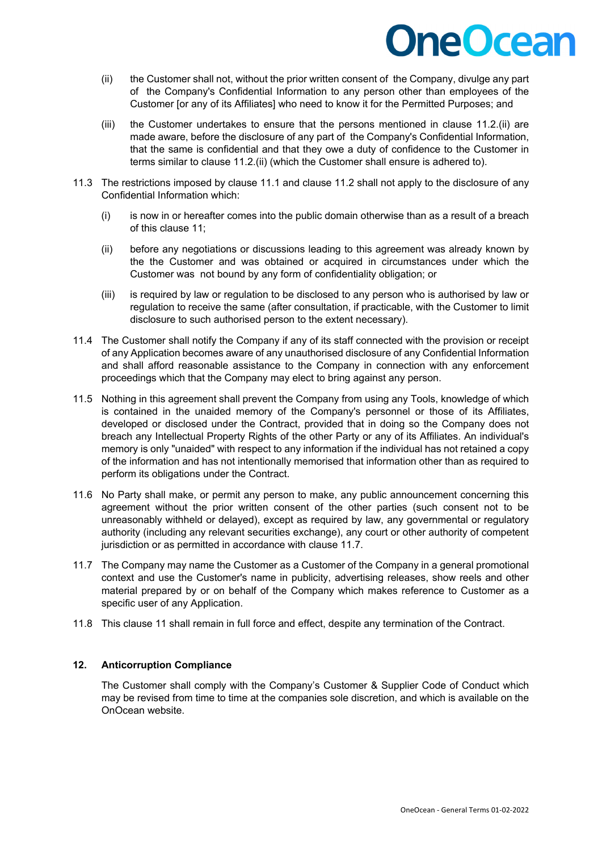- (ii) the Customer shall not, without the prior written consent of the Company, divulge any part of the Company's Confidential Information to any person other than employees of the Customer [or any of its Affiliates] who need to know it for the Permitted Purposes; and
- (iii) the Customer undertakes to ensure that the persons mentioned in clause 11.2.(ii) are made aware, before the disclosure of any part of the Company's Confidential Information, that the same is confidential and that they owe a duty of confidence to the Customer in terms similar to clause 11.2.(ii) (which the Customer shall ensure is adhered to).
- 11.3 The restrictions imposed by clause 11.1 and clause 11.2 shall not apply to the disclosure of any Confidential Information which:
	- (i) is now in or hereafter comes into the public domain otherwise than as a result of a breach of this clause 11;
	- (ii) before any negotiations or discussions leading to this agreement was already known by the the Customer and was obtained or acquired in circumstances under which the Customer was not bound by any form of confidentiality obligation; or
	- (iii) is required by law or regulation to be disclosed to any person who is authorised by law or regulation to receive the same (after consultation, if practicable, with the Customer to limit disclosure to such authorised person to the extent necessary).
- 11.4 The Customer shall notify the Company if any of its staff connected with the provision or receipt of any Application becomes aware of any unauthorised disclosure of any Confidential Information and shall afford reasonable assistance to the Company in connection with any enforcement proceedings which that the Company may elect to bring against any person.
- 11.5 Nothing in this agreement shall prevent the Company from using any Tools, knowledge of which is contained in the unaided memory of the Company's personnel or those of its Affiliates, developed or disclosed under the Contract, provided that in doing so the Company does not breach any Intellectual Property Rights of the other Party or any of its Affiliates. An individual's memory is only "unaided" with respect to any information if the individual has not retained a copy of the information and has not intentionally memorised that information other than as required to perform its obligations under the Contract.
- 11.6 No Party shall make, or permit any person to make, any public announcement concerning this agreement without the prior written consent of the other parties (such consent not to be unreasonably withheld or delayed), except as required by law, any governmental or regulatory authority (including any relevant securities exchange), any court or other authority of competent jurisdiction or as permitted in accordance with clause 11.7.
- 11.7 The Company may name the Customer as a Customer of the Company in a general promotional context and use the Customer's name in publicity, advertising releases, show reels and other material prepared by or on behalf of the Company which makes reference to Customer as a specific user of any Application.
- 11.8 This clause 11 shall remain in full force and effect, despite any termination of the Contract.

### **12. Anticorruption Compliance**

 The Customer shall comply with the Company's Customer & Supplier Code of Conduct which may be revised from time to time at the companies sole discretion, and which is available on the OnOcean website.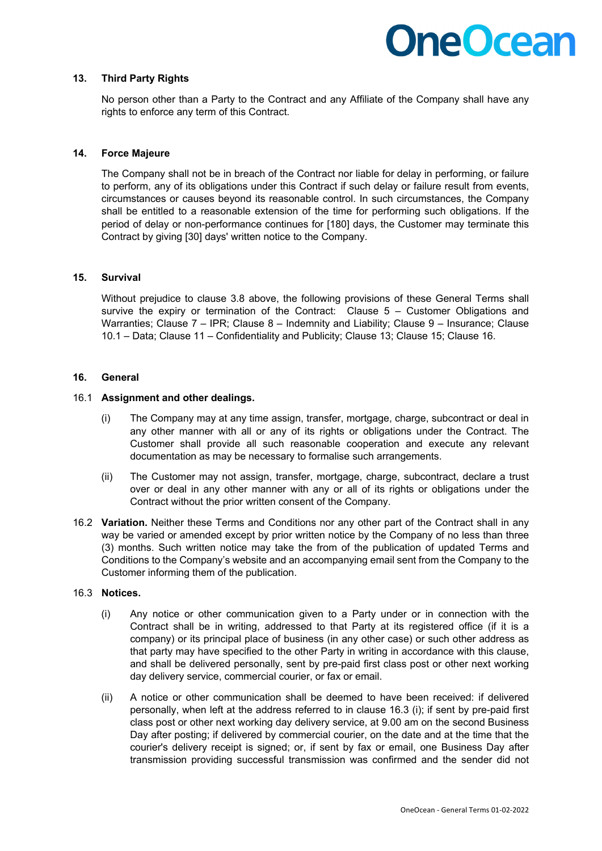### **13. Third Party Rights**

No person other than a Party to the Contract and any Affiliate of the Company shall have any rights to enforce any term of this Contract.

### **14. Force Majeure**

The Company shall not be in breach of the Contract nor liable for delay in performing, or failure to perform, any of its obligations under this Contract if such delay or failure result from events, circumstances or causes beyond its reasonable control. In such circumstances, the Company shall be entitled to a reasonable extension of the time for performing such obligations. If the period of delay or non-performance continues for [180] days, the Customer may terminate this Contract by giving [30] days' written notice to the Company.

### **15. Survival**

Without prejudice to clause 3.8 above, the following provisions of these General Terms shall survive the expiry or termination of the Contract: Clause 5 - Customer Obligations and Warranties; Clause 7 – IPR; Clause 8 – Indemnity and Liability; Clause 9 – Insurance; Clause 10.1 – Data; Clause 11 – Confidentiality and Publicity; Clause 13; Clause 15; Clause 16.

#### **16. General**

#### 16.1 **Assignment and other dealings.**

- (i) The Company may at any time assign, transfer, mortgage, charge, subcontract or deal in any other manner with all or any of its rights or obligations under the Contract. The Customer shall provide all such reasonable cooperation and execute any relevant documentation as may be necessary to formalise such arrangements.
- (ii) The Customer may not assign, transfer, mortgage, charge, subcontract, declare a trust over or deal in any other manner with any or all of its rights or obligations under the Contract without the prior written consent of the Company.
- 16.2 **Variation.** Neither these Terms and Conditions nor any other part of the Contract shall in any way be varied or amended except by prior written notice by the Company of no less than three (3) months. Such written notice may take the from of the publication of updated Terms and Conditions to the Company's website and an accompanying email sent from the Company to the Customer informing them of the publication.

### 16.3 **Notices.**

- (i) Any notice or other communication given to a Party under or in connection with the Contract shall be in writing, addressed to that Party at its registered office (if it is a company) or its principal place of business (in any other case) or such other address as that party may have specified to the other Party in writing in accordance with this clause, and shall be delivered personally, sent by pre-paid first class post or other next working day delivery service, commercial courier, or fax or email.
- (ii) A notice or other communication shall be deemed to have been received: if delivered personally, when left at the address referred to in clause 16.3 (i); if sent by pre-paid first class post or other next working day delivery service, at 9.00 am on the second Business Day after posting; if delivered by commercial courier, on the date and at the time that the courier's delivery receipt is signed; or, if sent by fax or email, one Business Day after transmission providing successful transmission was confirmed and the sender did not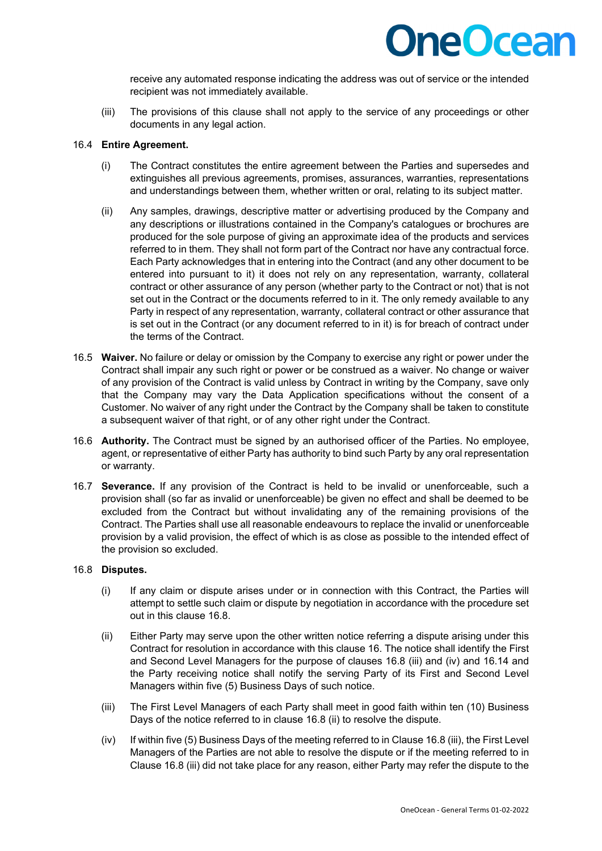

receive any automated response indicating the address was out of service or the intended recipient was not immediately available.

(iii) The provisions of this clause shall not apply to the service of any proceedings or other documents in any legal action.

### 16.4 **Entire Agreement.**

- (i) The Contract constitutes the entire agreement between the Parties and supersedes and extinguishes all previous agreements, promises, assurances, warranties, representations and understandings between them, whether written or oral, relating to its subject matter.
- (ii) Any samples, drawings, descriptive matter or advertising produced by the Company and any descriptions or illustrations contained in the Company's catalogues or brochures are produced for the sole purpose of giving an approximate idea of the products and services referred to in them. They shall not form part of the Contract nor have any contractual force. Each Party acknowledges that in entering into the Contract (and any other document to be entered into pursuant to it) it does not rely on any representation, warranty, collateral contract or other assurance of any person (whether party to the Contract or not) that is not set out in the Contract or the documents referred to in it. The only remedy available to any Party in respect of any representation, warranty, collateral contract or other assurance that is set out in the Contract (or any document referred to in it) is for breach of contract under the terms of the Contract.
- 16.5 **Waiver.** No failure or delay or omission by the Company to exercise any right or power under the Contract shall impair any such right or power or be construed as a waiver. No change or waiver of any provision of the Contract is valid unless by Contract in writing by the Company, save only that the Company may vary the Data Application specifications without the consent of a Customer. No waiver of any right under the Contract by the Company shall be taken to constitute a subsequent waiver of that right, or of any other right under the Contract.
- 16.6 **Authority.** The Contract must be signed by an authorised officer of the Parties. No employee, agent, or representative of either Party has authority to bind such Party by any oral representation or warranty.
- 16.7 **Severance.** If any provision of the Contract is held to be invalid or unenforceable, such a provision shall (so far as invalid or unenforceable) be given no effect and shall be deemed to be excluded from the Contract but without invalidating any of the remaining provisions of the Contract. The Parties shall use all reasonable endeavours to replace the invalid or unenforceable provision by a valid provision, the effect of which is as close as possible to the intended effect of the provision so excluded.

#### 16.8 **Disputes.**

- (i) If any claim or dispute arises under or in connection with this Contract, the Parties will attempt to settle such claim or dispute by negotiation in accordance with the procedure set out in this clause 16.8.
- (ii) Either Party may serve upon the other written notice referring a dispute arising under this Contract for resolution in accordance with this clause 16. The notice shall identify the First and Second Level Managers for the purpose of clauses 16.8 (iii) and (iv) and 16.14 and the Party receiving notice shall notify the serving Party of its First and Second Level Managers within five (5) Business Days of such notice.
- (iii) The First Level Managers of each Party shall meet in good faith within ten (10) Business Days of the notice referred to in clause 16.8 (ii) to resolve the dispute.
- (iv) If within five (5) Business Days of the meeting referred to in Clause 16.8 (iii), the First Level Managers of the Parties are not able to resolve the dispute or if the meeting referred to in Clause 16.8 (iii) did not take place for any reason, either Party may refer the dispute to the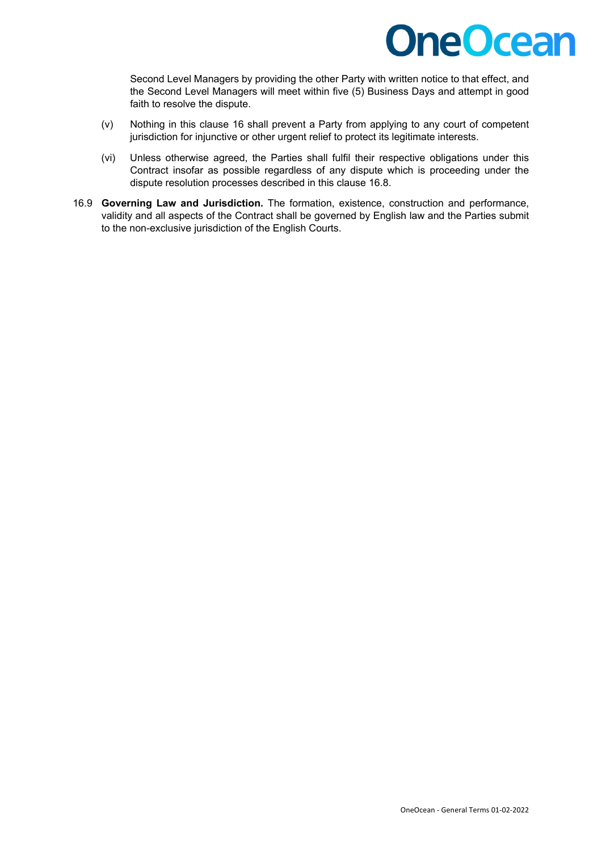

Second Level Managers by providing the other Party with written notice to that effect, and the Second Level Managers will meet within five (5) Business Days and attempt in good faith to resolve the dispute.

- (v) Nothing in this clause 16 shall prevent a Party from applying to any court of competent jurisdiction for injunctive or other urgent relief to protect its legitimate interests.
- (vi) Unless otherwise agreed, the Parties shall fulfil their respective obligations under this Contract insofar as possible regardless of any dispute which is proceeding under the dispute resolution processes described in this clause 16.8.
- 16.9 **Governing Law and Jurisdiction.** The formation, existence, construction and performance, validity and all aspects of the Contract shall be governed by English law and the Parties submit to the non-exclusive jurisdiction of the English Courts.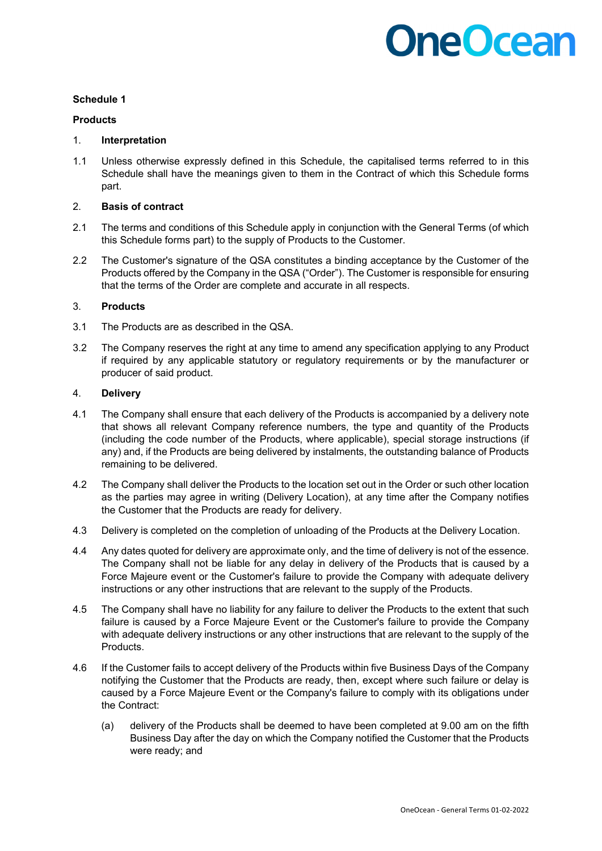### **Schedule 1**

### **Products**

### 1. **Interpretation**

1.1 Unless otherwise expressly defined in this Schedule, the capitalised terms referred to in this Schedule shall have the meanings given to them in the Contract of which this Schedule forms part.

### 2. **Basis of contract**

- 2.1 The terms and conditions of this Schedule apply in conjunction with the General Terms (of which this Schedule forms part) to the supply of Products to the Customer.
- 2.2 The Customer's signature of the QSA constitutes a binding acceptance by the Customer of the Products offered by the Company in the QSA ("Order"). The Customer is responsible for ensuring that the terms of the Order are complete and accurate in all respects.

### 3. **Products**

- 3.1 The Products are as described in the QSA.
- 3.2 The Company reserves the right at any time to amend any specification applying to any Product if required by any applicable statutory or regulatory requirements or by the manufacturer or producer of said product.

### 4. **Delivery**

- 4.1 The Company shall ensure that each delivery of the Products is accompanied by a delivery note that shows all relevant Company reference numbers, the type and quantity of the Products (including the code number of the Products, where applicable), special storage instructions (if any) and, if the Products are being delivered by instalments, the outstanding balance of Products remaining to be delivered.
- 4.2 The Company shall deliver the Products to the location set out in the Order or such other location as the parties may agree in writing (Delivery Location), at any time after the Company notifies the Customer that the Products are ready for delivery.
- 4.3 Delivery is completed on the completion of unloading of the Products at the Delivery Location.
- 4.4 Any dates quoted for delivery are approximate only, and the time of delivery is not of the essence. The Company shall not be liable for any delay in delivery of the Products that is caused by a Force Majeure event or the Customer's failure to provide the Company with adequate delivery instructions or any other instructions that are relevant to the supply of the Products.
- 4.5 The Company shall have no liability for any failure to deliver the Products to the extent that such failure is caused by a Force Majeure Event or the Customer's failure to provide the Company with adequate delivery instructions or any other instructions that are relevant to the supply of the Products.
- 4.6 If the Customer fails to accept delivery of the Products within five Business Days of the Company notifying the Customer that the Products are ready, then, except where such failure or delay is caused by a Force Majeure Event or the Company's failure to comply with its obligations under the Contract:
	- (a) delivery of the Products shall be deemed to have been completed at 9.00 am on the fifth Business Day after the day on which the Company notified the Customer that the Products were ready; and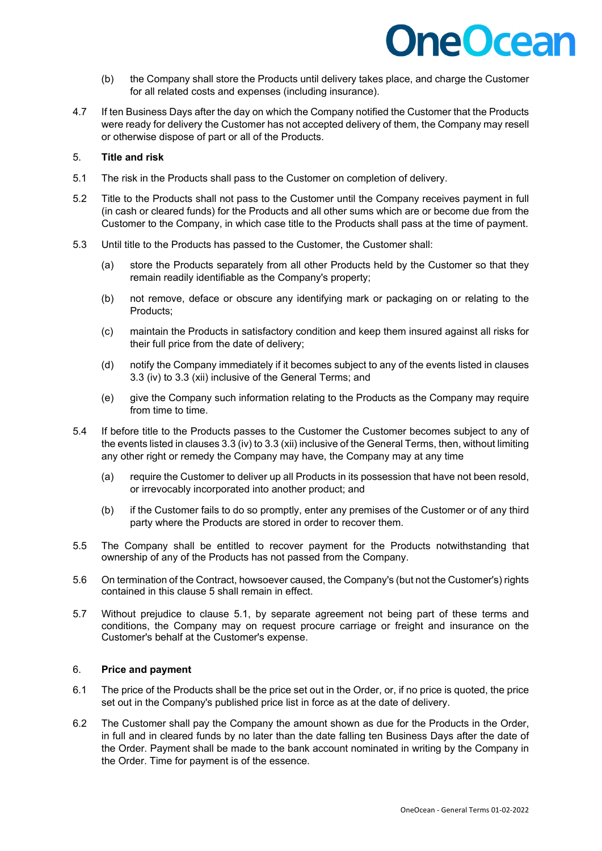

- (b) the Company shall store the Products until delivery takes place, and charge the Customer for all related costs and expenses (including insurance).
- 4.7 If ten Business Days after the day on which the Company notified the Customer that the Products were ready for delivery the Customer has not accepted delivery of them, the Company may resell or otherwise dispose of part or all of the Products.

#### 5. **Title and risk**

- 5.1 The risk in the Products shall pass to the Customer on completion of delivery.
- 5.2 Title to the Products shall not pass to the Customer until the Company receives payment in full (in cash or cleared funds) for the Products and all other sums which are or become due from the Customer to the Company, in which case title to the Products shall pass at the time of payment.
- 5.3 Until title to the Products has passed to the Customer, the Customer shall:
	- (a) store the Products separately from all other Products held by the Customer so that they remain readily identifiable as the Company's property;
	- (b) not remove, deface or obscure any identifying mark or packaging on or relating to the Products;
	- (c) maintain the Products in satisfactory condition and keep them insured against all risks for their full price from the date of delivery;
	- (d) notify the Company immediately if it becomes subject to any of the events listed in clauses 3.3 (iv) to 3.3 (xii) inclusive of the General Terms; and
	- (e) give the Company such information relating to the Products as the Company may require from time to time.
- 5.4 If before title to the Products passes to the Customer the Customer becomes subject to any of the events listed in clauses 3.3 (iv) to 3.3 (xii) inclusive of the General Terms, then, without limiting any other right or remedy the Company may have, the Company may at any time
	- (a) require the Customer to deliver up all Products in its possession that have not been resold, or irrevocably incorporated into another product; and
	- (b) if the Customer fails to do so promptly, enter any premises of the Customer or of any third party where the Products are stored in order to recover them.
- 5.5 The Company shall be entitled to recover payment for the Products notwithstanding that ownership of any of the Products has not passed from the Company.
- 5.6 On termination of the Contract, howsoever caused, the Company's (but not the Customer's) rights contained in this clause 5 shall remain in effect.
- 5.7 Without prejudice to clause 5.1, by separate agreement not being part of these terms and conditions, the Company may on request procure carriage or freight and insurance on the Customer's behalf at the Customer's expense.

### 6. **Price and payment**

- 6.1 The price of the Products shall be the price set out in the Order, or, if no price is quoted, the price set out in the Company's published price list in force as at the date of delivery.
- 6.2 The Customer shall pay the Company the amount shown as due for the Products in the Order, in full and in cleared funds by no later than the date falling ten Business Days after the date of the Order. Payment shall be made to the bank account nominated in writing by the Company in the Order. Time for payment is of the essence.